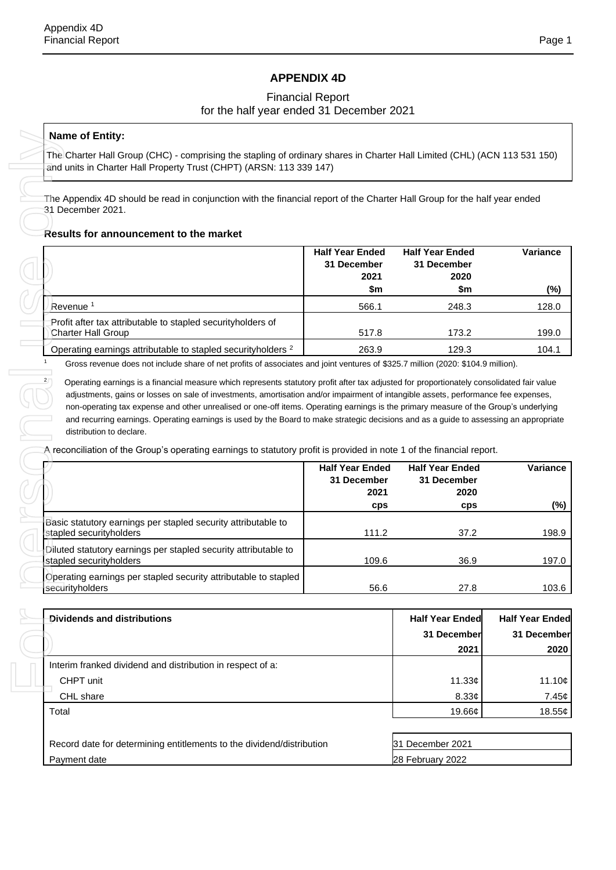## **APPENDIX 4D**

## Financial Report for the half year ended 31 December 2021

### **Name of Entity:**

#### **Results for announcement to the market**

|                                                                                   | <b>Half Year Ended</b><br>31 December<br>2021 | <b>Half Year Ended</b><br>31 December<br>2020 | Variance |
|-----------------------------------------------------------------------------------|-----------------------------------------------|-----------------------------------------------|----------|
|                                                                                   | \$m                                           | \$m                                           | (%)      |
| Revenue <sup>1</sup>                                                              | 566.1                                         | 248.3                                         | 128.0    |
| Profit after tax attributable to stapled securityholders of<br>Charter Hall Group | 517.8                                         | 173.2                                         | 199.0    |
| Operating earnings attributable to stapled security holders <sup>2</sup>          | 263.9                                         | 129.3                                         | 104.1    |

| The Appendix 4D should be read in conjunction with the financial report of the Charter Hall Group for the half year ended<br>31 December 2021.                                                                                                                                                                                                                                                                                                                                                                                                                             |                                                      |                                                      |                        |
|----------------------------------------------------------------------------------------------------------------------------------------------------------------------------------------------------------------------------------------------------------------------------------------------------------------------------------------------------------------------------------------------------------------------------------------------------------------------------------------------------------------------------------------------------------------------------|------------------------------------------------------|------------------------------------------------------|------------------------|
| Results for announcement to the market                                                                                                                                                                                                                                                                                                                                                                                                                                                                                                                                     |                                                      |                                                      |                        |
|                                                                                                                                                                                                                                                                                                                                                                                                                                                                                                                                                                            | <b>Half Year Ended</b><br>31 December<br>2021<br>\$m | <b>Half Year Ended</b><br>31 December<br>2020<br>\$m | Variance               |
| Revenue <sup>1</sup>                                                                                                                                                                                                                                                                                                                                                                                                                                                                                                                                                       | 566.1                                                | 248.3                                                | 128.0                  |
| Profit after tax attributable to stapled securityholders of<br><b>Charter Hall Group</b>                                                                                                                                                                                                                                                                                                                                                                                                                                                                                   | 517.8                                                | 173.2                                                | 199.0                  |
| Operating earnings attributable to stapled security holders <sup>2</sup>                                                                                                                                                                                                                                                                                                                                                                                                                                                                                                   | 263.9                                                | 129.3                                                | 104.1                  |
| adjustments, gains or losses on sale of investments, amortisation and/or impairment of intangible assets, performance fee expenses,<br>non-operating tax expense and other unrealised or one-off items. Operating earnings is the primary measure of the Group's underlying<br>and recurring earnings. Operating earnings is used by the Board to make strategic decisions and as a guide to assessing an appropriate<br>distribution to declare.<br>A reconciliation of the Group's operating earnings to statutory profit is provided in note 1 of the financial report. | <b>Half Year Ended</b>                               | <b>Half Year Ended</b>                               | Variance               |
|                                                                                                                                                                                                                                                                                                                                                                                                                                                                                                                                                                            | 31 December                                          | 31 December                                          |                        |
|                                                                                                                                                                                                                                                                                                                                                                                                                                                                                                                                                                            | 2021<br>cps                                          | 2020<br>cps                                          |                        |
| Basic statutory earnings per stapled security attributable to<br>stapled securityholders                                                                                                                                                                                                                                                                                                                                                                                                                                                                                   | 111.2                                                | 37.2                                                 |                        |
| Diluted statutory earnings per stapled security attributable to<br>stapled securityholders                                                                                                                                                                                                                                                                                                                                                                                                                                                                                 | 109.6                                                | 36.9                                                 |                        |
| Operating earnings per stapled security attributable to stapled<br>securityholders                                                                                                                                                                                                                                                                                                                                                                                                                                                                                         | 56.6                                                 | 27.8                                                 |                        |
| Dividends and distributions                                                                                                                                                                                                                                                                                                                                                                                                                                                                                                                                                |                                                      | <b>Half Year Ended</b>                               | <b>Half Year Ended</b> |
|                                                                                                                                                                                                                                                                                                                                                                                                                                                                                                                                                                            |                                                      | 31 December                                          | 31 December            |
|                                                                                                                                                                                                                                                                                                                                                                                                                                                                                                                                                                            |                                                      | 2021                                                 |                        |
| Interim franked dividend and distribution in respect of a:                                                                                                                                                                                                                                                                                                                                                                                                                                                                                                                 |                                                      |                                                      |                        |
| CHPT unit<br>CHL share                                                                                                                                                                                                                                                                                                                                                                                                                                                                                                                                                     |                                                      | 11.33 $\phi$<br>8.33¢                                |                        |

| Dividends and distributions                                | <b>Half Year Ended</b> | <b>Half Year Ended</b> |
|------------------------------------------------------------|------------------------|------------------------|
|                                                            | 31 December            | 31 December            |
|                                                            | 2021                   | 2020                   |
| Interim franked dividend and distribution in respect of a: |                        |                        |
| CHPT unit                                                  | 11.33c                 | 11.10¢                 |
| CHL share                                                  | 8.33c                  | 7.45¢                  |
| Total                                                      | 19.66¢                 | 18.55¢                 |

| Record date for determining entitlements to the dividend/distribution | 31 December 2021 |  |
|-----------------------------------------------------------------------|------------------|--|
| Payment date                                                          | 28 February 2022 |  |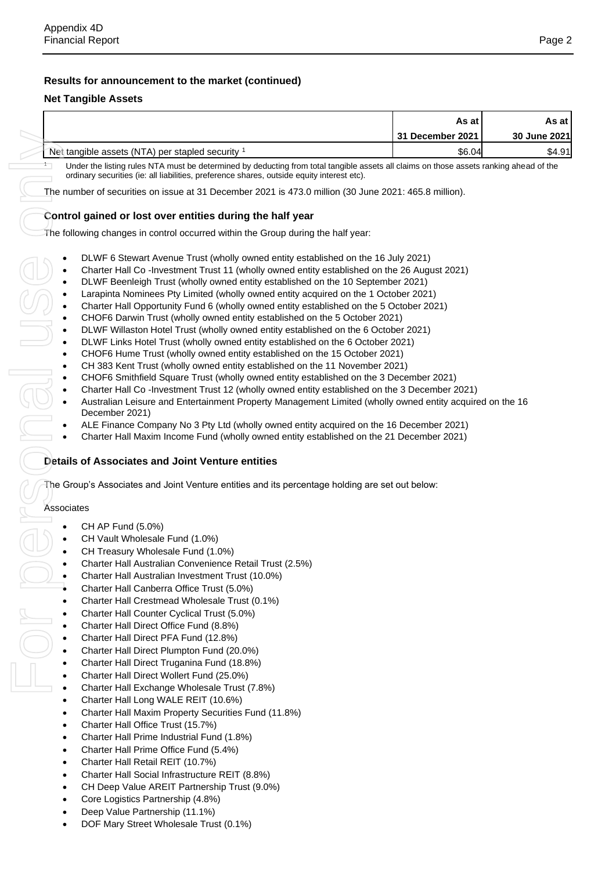## **Results for announcement to the market (continued)**

## **Net Tangible Assets**

|                                                                                                                                                                                                                                                                                                                                                                                                                                                                                                                                                                                                                                                                                                                                                                                                                                                                                                                                                                                                                                                                                                                                                                                                                                                                                                                                                                                                                                                                                                                                                                         | As at<br>As at                    |              |                                                           |
|-------------------------------------------------------------------------------------------------------------------------------------------------------------------------------------------------------------------------------------------------------------------------------------------------------------------------------------------------------------------------------------------------------------------------------------------------------------------------------------------------------------------------------------------------------------------------------------------------------------------------------------------------------------------------------------------------------------------------------------------------------------------------------------------------------------------------------------------------------------------------------------------------------------------------------------------------------------------------------------------------------------------------------------------------------------------------------------------------------------------------------------------------------------------------------------------------------------------------------------------------------------------------------------------------------------------------------------------------------------------------------------------------------------------------------------------------------------------------------------------------------------------------------------------------------------------------|-----------------------------------|--------------|-----------------------------------------------------------|
|                                                                                                                                                                                                                                                                                                                                                                                                                                                                                                                                                                                                                                                                                                                                                                                                                                                                                                                                                                                                                                                                                                                                                                                                                                                                                                                                                                                                                                                                                                                                                                         | 31 December 2021                  | 30 June 2021 |                                                           |
| Net tangible assets (NTA) per stapled security 1                                                                                                                                                                                                                                                                                                                                                                                                                                                                                                                                                                                                                                                                                                                                                                                                                                                                                                                                                                                                                                                                                                                                                                                                                                                                                                                                                                                                                                                                                                                        | \$6.04                            | \$4.91       |                                                           |
| Under the listing rules NTA must be determined by deducting from total tangible assets all claims on those assets ranking ahead of the<br>ordinary securities (ie: all liabilities, preference shares, outside equity interest etc).                                                                                                                                                                                                                                                                                                                                                                                                                                                                                                                                                                                                                                                                                                                                                                                                                                                                                                                                                                                                                                                                                                                                                                                                                                                                                                                                    |                                   |              |                                                           |
| The number of securities on issue at 31 December 2021 is 473.0 million (30 June 2021: 465.8 million).                                                                                                                                                                                                                                                                                                                                                                                                                                                                                                                                                                                                                                                                                                                                                                                                                                                                                                                                                                                                                                                                                                                                                                                                                                                                                                                                                                                                                                                                   |                                   |              |                                                           |
| Control gained or lost over entities during the half year                                                                                                                                                                                                                                                                                                                                                                                                                                                                                                                                                                                                                                                                                                                                                                                                                                                                                                                                                                                                                                                                                                                                                                                                                                                                                                                                                                                                                                                                                                               |                                   |              |                                                           |
| The following changes in control occurred within the Group during the half year:                                                                                                                                                                                                                                                                                                                                                                                                                                                                                                                                                                                                                                                                                                                                                                                                                                                                                                                                                                                                                                                                                                                                                                                                                                                                                                                                                                                                                                                                                        |                                   |              |                                                           |
| DLWF 6 Stewart Avenue Trust (wholly owned entity established on the 16 July 2021)<br>Charter Hall Co-Investment Trust 11 (wholly owned entity established on the 26 August 2021)<br>DLWF Beenleigh Trust (wholly owned entity established on the 10 September 2021)<br>Larapinta Nominees Pty Limited (wholly owned entity acquired on the 1 October 2021)<br>Charter Hall Opportunity Fund 6 (wholly owned entity established on the 5 October 2021)<br>CHOF6 Darwin Trust (wholly owned entity established on the 5 October 2021)<br>DLWF Willaston Hotel Trust (wholly owned entity established on the 6 October 2021)<br>DLWF Links Hotel Trust (wholly owned entity established on the 6 October 2021)<br>$\bullet$<br>CHOF6 Hume Trust (wholly owned entity established on the 15 October 2021)<br>$\bullet$<br>CH 383 Kent Trust (wholly owned entity established on the 11 November 2021)<br>CHOF6 Smithfield Square Trust (wholly owned entity established on the 3 December 2021)<br>Charter Hall Co-Investment Trust 12 (wholly owned entity established on the 3 December 2021)<br>Australian Leisure and Entertainment Property Management Limited (wholly owned entity acquired on the 16<br>December 2021)<br>ALE Finance Company No 3 Pty Ltd (wholly owned entity acquired on the 16 December 2021)<br>Charter Hall Maxim Income Fund (wholly owned entity established on the 21 December 2021)<br>Details of Associates and Joint Venture entities<br>The Group's Associates and Joint Venture entities and its percentage holding are set out below: |                                   |              |                                                           |
| Associates                                                                                                                                                                                                                                                                                                                                                                                                                                                                                                                                                                                                                                                                                                                                                                                                                                                                                                                                                                                                                                                                                                                                                                                                                                                                                                                                                                                                                                                                                                                                                              |                                   |              |                                                           |
| CH AP Fund (5.0%)                                                                                                                                                                                                                                                                                                                                                                                                                                                                                                                                                                                                                                                                                                                                                                                                                                                                                                                                                                                                                                                                                                                                                                                                                                                                                                                                                                                                                                                                                                                                                       |                                   |              |                                                           |
| CH Vault Wholesale Fund (1.0%)                                                                                                                                                                                                                                                                                                                                                                                                                                                                                                                                                                                                                                                                                                                                                                                                                                                                                                                                                                                                                                                                                                                                                                                                                                                                                                                                                                                                                                                                                                                                          |                                   |              |                                                           |
|                                                                                                                                                                                                                                                                                                                                                                                                                                                                                                                                                                                                                                                                                                                                                                                                                                                                                                                                                                                                                                                                                                                                                                                                                                                                                                                                                                                                                                                                                                                                                                         | CH Treasury Wholesale Fund (1.0%) |              |                                                           |
| Charter Hall Australian Convenience Retail Trust (2.5%)                                                                                                                                                                                                                                                                                                                                                                                                                                                                                                                                                                                                                                                                                                                                                                                                                                                                                                                                                                                                                                                                                                                                                                                                                                                                                                                                                                                                                                                                                                                 |                                   |              |                                                           |
| Charter Hall Australian Investment Trust (10.0%)                                                                                                                                                                                                                                                                                                                                                                                                                                                                                                                                                                                                                                                                                                                                                                                                                                                                                                                                                                                                                                                                                                                                                                                                                                                                                                                                                                                                                                                                                                                        |                                   |              |                                                           |
| Charter Hall Canberra Office Trust (5.0%)                                                                                                                                                                                                                                                                                                                                                                                                                                                                                                                                                                                                                                                                                                                                                                                                                                                                                                                                                                                                                                                                                                                                                                                                                                                                                                                                                                                                                                                                                                                               |                                   |              |                                                           |
| Charter Hall Crestmead Wholesale Trust (0.1%)                                                                                                                                                                                                                                                                                                                                                                                                                                                                                                                                                                                                                                                                                                                                                                                                                                                                                                                                                                                                                                                                                                                                                                                                                                                                                                                                                                                                                                                                                                                           |                                   |              |                                                           |
| Charter Hall Counter Cyclical Trust (5.0%)                                                                                                                                                                                                                                                                                                                                                                                                                                                                                                                                                                                                                                                                                                                                                                                                                                                                                                                                                                                                                                                                                                                                                                                                                                                                                                                                                                                                                                                                                                                              |                                   |              |                                                           |
| Charter Hall Direct Office Fund (8.8%)                                                                                                                                                                                                                                                                                                                                                                                                                                                                                                                                                                                                                                                                                                                                                                                                                                                                                                                                                                                                                                                                                                                                                                                                                                                                                                                                                                                                                                                                                                                                  |                                   |              |                                                           |
| Charter Hall Direct PFA Fund (12.8%)                                                                                                                                                                                                                                                                                                                                                                                                                                                                                                                                                                                                                                                                                                                                                                                                                                                                                                                                                                                                                                                                                                                                                                                                                                                                                                                                                                                                                                                                                                                                    |                                   |              |                                                           |
| Charter Hall Direct Plumpton Fund (20.0%)                                                                                                                                                                                                                                                                                                                                                                                                                                                                                                                                                                                                                                                                                                                                                                                                                                                                                                                                                                                                                                                                                                                                                                                                                                                                                                                                                                                                                                                                                                                               |                                   |              |                                                           |
| Charter Hall Direct Truganina Fund (18.8%)                                                                                                                                                                                                                                                                                                                                                                                                                                                                                                                                                                                                                                                                                                                                                                                                                                                                                                                                                                                                                                                                                                                                                                                                                                                                                                                                                                                                                                                                                                                              |                                   |              |                                                           |
| Charter Hall Direct Wollert Fund (25.0%)                                                                                                                                                                                                                                                                                                                                                                                                                                                                                                                                                                                                                                                                                                                                                                                                                                                                                                                                                                                                                                                                                                                                                                                                                                                                                                                                                                                                                                                                                                                                |                                   |              |                                                           |
| Charter Hall Exchange Wholesale Trust (7.8%)<br>$\bullet$                                                                                                                                                                                                                                                                                                                                                                                                                                                                                                                                                                                                                                                                                                                                                                                                                                                                                                                                                                                                                                                                                                                                                                                                                                                                                                                                                                                                                                                                                                               |                                   |              |                                                           |
| Charter Hall Long WALE REIT (10.6%)<br>$\bullet$                                                                                                                                                                                                                                                                                                                                                                                                                                                                                                                                                                                                                                                                                                                                                                                                                                                                                                                                                                                                                                                                                                                                                                                                                                                                                                                                                                                                                                                                                                                        |                                   |              |                                                           |
| Charter Hall Maxim Property Securities Fund (11.8%)<br>$\bullet$                                                                                                                                                                                                                                                                                                                                                                                                                                                                                                                                                                                                                                                                                                                                                                                                                                                                                                                                                                                                                                                                                                                                                                                                                                                                                                                                                                                                                                                                                                        |                                   |              |                                                           |
| Charter Hall Office Trust (15.7%)<br>$\bullet$                                                                                                                                                                                                                                                                                                                                                                                                                                                                                                                                                                                                                                                                                                                                                                                                                                                                                                                                                                                                                                                                                                                                                                                                                                                                                                                                                                                                                                                                                                                          |                                   |              |                                                           |
| Charter Hall Prime Industrial Fund (1.8%)<br>$\bullet$                                                                                                                                                                                                                                                                                                                                                                                                                                                                                                                                                                                                                                                                                                                                                                                                                                                                                                                                                                                                                                                                                                                                                                                                                                                                                                                                                                                                                                                                                                                  |                                   |              |                                                           |
| Charter Hall Prime Office Fund (5.4%)<br>$\bullet$                                                                                                                                                                                                                                                                                                                                                                                                                                                                                                                                                                                                                                                                                                                                                                                                                                                                                                                                                                                                                                                                                                                                                                                                                                                                                                                                                                                                                                                                                                                      |                                   |              |                                                           |
| Charter Hall Retail REIT (10.7%)<br>$\bullet$<br>Charter Hall Social Infrastructure REIT (8.8%)<br>$\bullet$                                                                                                                                                                                                                                                                                                                                                                                                                                                                                                                                                                                                                                                                                                                                                                                                                                                                                                                                                                                                                                                                                                                                                                                                                                                                                                                                                                                                                                                            |                                   |              |                                                           |
|                                                                                                                                                                                                                                                                                                                                                                                                                                                                                                                                                                                                                                                                                                                                                                                                                                                                                                                                                                                                                                                                                                                                                                                                                                                                                                                                                                                                                                                                                                                                                                         |                                   |              | CH Deep Value AREIT Partnership Trust (9.0%)<br>$\bullet$ |
| Core Logistics Partnership (4.8%)<br>$\bullet$                                                                                                                                                                                                                                                                                                                                                                                                                                                                                                                                                                                                                                                                                                                                                                                                                                                                                                                                                                                                                                                                                                                                                                                                                                                                                                                                                                                                                                                                                                                          |                                   |              |                                                           |
| Deep Value Partnership (11.1%)                                                                                                                                                                                                                                                                                                                                                                                                                                                                                                                                                                                                                                                                                                                                                                                                                                                                                                                                                                                                                                                                                                                                                                                                                                                                                                                                                                                                                                                                                                                                          |                                   |              |                                                           |
| DOF Mary Street Wholesale Trust (0.1%)<br>$\bullet$                                                                                                                                                                                                                                                                                                                                                                                                                                                                                                                                                                                                                                                                                                                                                                                                                                                                                                                                                                                                                                                                                                                                                                                                                                                                                                                                                                                                                                                                                                                     |                                   |              |                                                           |

## **Control gained or lost over entities during the half year**

- DLWF 6 Stewart Avenue Trust (wholly owned entity established on the 16 July 2021)
- Charter Hall Co -Investment Trust 11 (wholly owned entity established on the 26 August 2021)
- DLWF Beenleigh Trust (wholly owned entity established on the 10 September 2021)
- Larapinta Nominees Pty Limited (wholly owned entity acquired on the 1 October 2021)
- Charter Hall Opportunity Fund 6 (wholly owned entity established on the 5 October 2021)
- CHOF6 Darwin Trust (wholly owned entity established on the 5 October 2021)
- DLWF Willaston Hotel Trust (wholly owned entity established on the 6 October 2021)
- DLWF Links Hotel Trust (wholly owned entity established on the 6 October 2021)
- CHOF6 Hume Trust (wholly owned entity established on the 15 October 2021)
- CH 383 Kent Trust (wholly owned entity established on the 11 November 2021)
- CHOF6 Smithfield Square Trust (wholly owned entity established on the 3 December 2021)
- Charter Hall Co -Investment Trust 12 (wholly owned entity established on the 3 December 2021)
- Australian Leisure and Entertainment Property Management Limited (wholly owned entity acquired on the 16 December 2021)
- ALE Finance Company No 3 Pty Ltd (wholly owned entity acquired on the 16 December 2021)
- Charter Hall Maxim Income Fund (wholly owned entity established on the 21 December 2021)

## **Details of Associates and Joint Venture entities**

### **Associates**

- CH AP Fund (5.0%)
- CH Vault Wholesale Fund (1.0%)
- CH Treasury Wholesale Fund (1.0%)
- Charter Hall Australian Convenience Retail Trust (2.5%)
- Charter Hall Australian Investment Trust (10.0%)
- Charter Hall Canberra Office Trust (5.0%)
- Charter Hall Crestmead Wholesale Trust (0.1%)
- Charter Hall Counter Cyclical Trust (5.0%)
- Charter Hall Direct Office Fund (8.8%)
- Charter Hall Direct PFA Fund (12.8%)
- Charter Hall Direct Plumpton Fund (20.0%)
- Charter Hall Direct Truganina Fund (18.8%)
- Charter Hall Direct Wollert Fund (25.0%)
- Charter Hall Exchange Wholesale Trust (7.8%)
- Charter Hall Long WALE REIT (10.6%)
- Charter Hall Maxim Property Securities Fund (11.8%)
- Charter Hall Office Trust (15.7%)
- Charter Hall Prime Industrial Fund (1.8%)
- Charter Hall Prime Office Fund (5.4%)
- Charter Hall Retail REIT (10.7%)
- Charter Hall Social Infrastructure REIT (8.8%)
- CH Deep Value AREIT Partnership Trust (9.0%)
- Core Logistics Partnership (4.8%)
- Deep Value Partnership (11.1%)
-